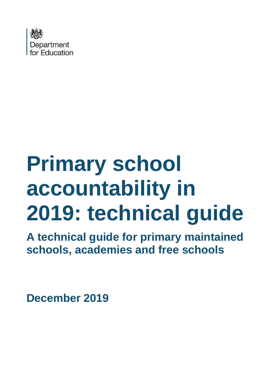

# **Primary school accountability in 2019: technical guide**

**A technical guide for primary maintained schools, academies and free schools**

**December 2019**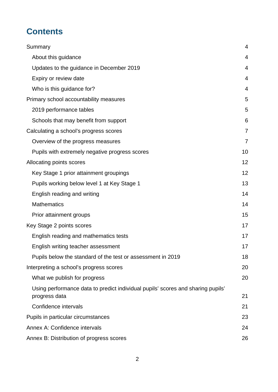# **Contents**

|                                                                                                  | $\overline{4}$ |
|--------------------------------------------------------------------------------------------------|----------------|
| Summary                                                                                          |                |
| About this guidance                                                                              | 4              |
| Updates to the guidance in December 2019                                                         | 4              |
| Expiry or review date                                                                            | 4              |
| Who is this guidance for?                                                                        | 4              |
| Primary school accountability measures                                                           | 5              |
| 2019 performance tables                                                                          | 5              |
| Schools that may benefit from support                                                            | 6              |
| Calculating a school's progress scores                                                           | 7              |
| Overview of the progress measures                                                                | $\overline{7}$ |
| Pupils with extremely negative progress scores                                                   | 10             |
| Allocating points scores                                                                         | 12             |
| Key Stage 1 prior attainment groupings                                                           | 12             |
| Pupils working below level 1 at Key Stage 1                                                      | 13             |
| English reading and writing                                                                      | 14             |
| <b>Mathematics</b>                                                                               | 14             |
| Prior attainment groups                                                                          | 15             |
| Key Stage 2 points scores                                                                        | 17             |
| English reading and mathematics tests                                                            | 17             |
| English writing teacher assessment                                                               | 17             |
| Pupils below the standard of the test or assessment in 2019                                      | 18             |
| Interpreting a school's progress scores                                                          | 20             |
| What we publish for progress                                                                     | 20             |
| Using performance data to predict individual pupils' scores and sharing pupils'<br>progress data | 21             |
| Confidence intervals                                                                             | 21             |
| Pupils in particular circumstances                                                               | 23             |
| Annex A: Confidence intervals                                                                    | 24             |
| Annex B: Distribution of progress scores                                                         | 26             |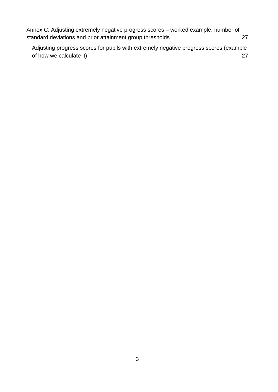[Annex C: Adjusting extremely negative progress scores –](#page-26-0) worked example, number of [standard deviations and prior attainment group thresholds](#page-26-0) 27

[Adjusting progress scores for pupils with extremely negative progress scores \(example](#page-26-1)  [of how we calculate it\)](#page-26-1) 27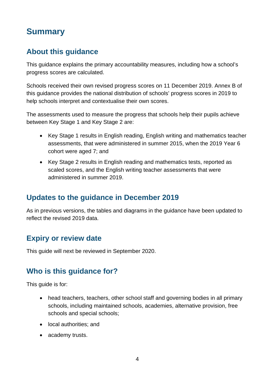# <span id="page-3-0"></span>**Summary**

# <span id="page-3-1"></span>**About this guidance**

This guidance explains the primary accountability measures, including how a school's progress scores are calculated.

Schools received their own revised progress scores on 11 December 2019. Annex B of this guidance provides the national distribution of schools' progress scores in 2019 to help schools interpret and contextualise their own scores.

The assessments used to measure the progress that schools help their pupils achieve between Key Stage 1 and Key Stage 2 are:

- Key Stage 1 results in English reading, English writing and mathematics teacher assessments, that were administered in summer 2015, when the 2019 Year 6 cohort were aged 7; and
- Key Stage 2 results in English reading and mathematics tests, reported as scaled scores, and the English writing teacher assessments that were administered in summer 2019.

# <span id="page-3-2"></span>**Updates to the guidance in December 2019**

As in previous versions, the tables and diagrams in the guidance have been updated to reflect the revised 2019 data.

## <span id="page-3-3"></span>**Expiry or review date**

This guide will next be reviewed in September 2020.

# <span id="page-3-4"></span>**Who is this guidance for?**

This guide is for:

- head teachers, teachers, other school staff and governing bodies in all primary schools, including maintained schools, academies, alternative provision, free schools and special schools;
- local authorities; and
- academy trusts.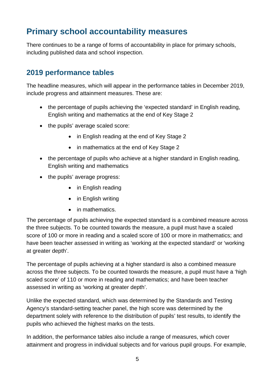# <span id="page-4-0"></span>**Primary school accountability measures**

There continues to be a range of forms of accountability in place for primary schools, including published data and school inspection.

## <span id="page-4-1"></span>**2019 performance tables**

The headline measures, which will appear in the performance tables in December 2019, include progress and attainment measures. These are:

- the percentage of pupils achieving the 'expected standard' in English reading, English writing and mathematics at the end of Key Stage 2
- the pupils' average scaled score:
	- in English reading at the end of Key Stage 2
	- in mathematics at the end of Key Stage 2
- the percentage of pupils who achieve at a higher standard in English reading, English writing and mathematics
- the pupils' average progress:
	- in English reading
	- in English writing
	- in mathematics.

The percentage of pupils achieving the expected standard is a combined measure across the three subjects. To be counted towards the measure, a pupil must have a scaled score of 100 or more in reading and a scaled score of 100 or more in mathematics; and have been teacher assessed in writing as 'working at the expected standard' or 'working at greater depth'.

The percentage of pupils achieving at a higher standard is also a combined measure across the three subjects. To be counted towards the measure, a pupil must have a 'high scaled score' of 110 or more in reading and mathematics; and have been teacher assessed in writing as 'working at greater depth'.

Unlike the expected standard, which was determined by the Standards and Testing Agency's standard-setting teacher panel, the high score was determined by the department solely with reference to the distribution of pupils' test results, to identify the pupils who achieved the highest marks on the tests.

In addition, the performance tables also include a range of measures, which cover attainment and progress in individual subjects and for various pupil groups. For example,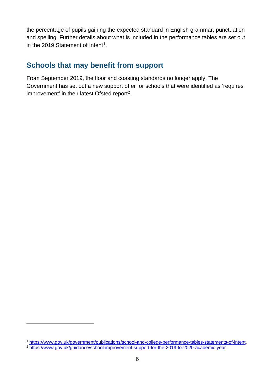the percentage of pupils gaining the expected standard in English grammar, punctuation and spelling. Further details about what is included in the performance tables are set out in the 2019 Statement of Intent<sup>1</sup>.

## <span id="page-5-0"></span>**Schools that may benefit from support**

From September 2019, the floor and coasting standards no longer apply. The Government has set out a new support offer for schools that were identified as 'requires improvement' in their latest Ofsted report<sup>[2](#page-5-2)</sup>.

<span id="page-5-1"></span><sup>1</sup> [https://www.gov.uk/government/publications/school-and-college-performance-tables-statements-of-intent.](https://www.gov.uk/government/publications/school-and-college-performance-tables-statements-of-intent) 2 [https://www.gov.uk/guidance/school-improvement-support-for-the-2019-to-2020-academic-year.](https://www.gov.uk/guidance/school-improvement-support-for-the-2019-to-2020-academic-year)

<span id="page-5-2"></span>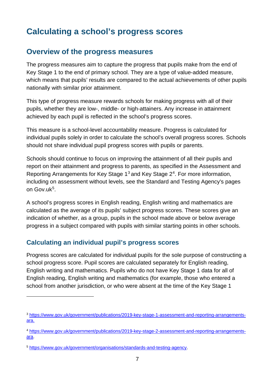# <span id="page-6-0"></span>**Calculating a school's progress scores**

#### <span id="page-6-1"></span>**Overview of the progress measures**

The progress measures aim to capture the progress that pupils make from the end of Key Stage 1 to the end of primary school. They are a type of value-added measure, which means that pupils' results are compared to the actual achievements of other pupils nationally with similar prior attainment.

This type of progress measure rewards schools for making progress with all of their pupils, whether they are low-, middle- or high-attainers. Any increase in attainment achieved by each pupil is reflected in the school's progress scores.

This measure is a school-level accountability measure. Progress is calculated for individual pupils solely in order to calculate the school's overall progress scores. Schools should not share individual pupil progress scores with pupils or parents.

Schools should continue to focus on improving the attainment of all their pupils and report on their attainment and progress to parents, as specified in the Assessment and Reporting Arrangements for Key Stage 1[3](#page-6-2) and Key Stage 2[4](#page-6-3). For more information, including on assessment without levels, see the Standard and Testing Agency's pages on Gov.uk<sup>[5](#page-6-4)</sup>.

A school's progress scores in English reading, English writing and mathematics are calculated as the average of its pupils' subject progress scores. These scores give an indication of whether, as a group, pupils in the school made above or below average progress in a subject compared with pupils with similar starting points in other schools.

#### **Calculating an individual pupil's progress scores**

Progress scores are calculated for individual pupils for the sole purpose of constructing a school progress score. Pupil scores are calculated separately for English reading, English writing and mathematics. Pupils who do not have Key Stage 1 data for all of English reading, English writing and mathematics (for example, those who entered a school from another jurisdiction, or who were absent at the time of the Key Stage 1

<span id="page-6-2"></span><sup>3</sup> [https://www.gov.uk/government/publications/2019-key-stage-1-assessment-and-reporting-arrangements](https://www.gov.uk/government/publications/2019-key-stage-1-assessment-and-reporting-arrangements-ara)[ara.](https://www.gov.uk/government/publications/2019-key-stage-1-assessment-and-reporting-arrangements-ara)

<span id="page-6-3"></span><sup>4</sup> [https://www.gov.uk/government/publications/2019-key-stage-2-assessment-and-reporting-arrangements](https://www.gov.uk/government/publications/2019-key-stage-2-assessment-and-reporting-arrangements-ara)[ara.](https://www.gov.uk/government/publications/2019-key-stage-2-assessment-and-reporting-arrangements-ara)

<span id="page-6-4"></span><sup>5</sup> [https://www.gov.uk/government/organisations/standards-and-testing-agency.](https://www.gov.uk/government/organisations/standards-and-testing-agency)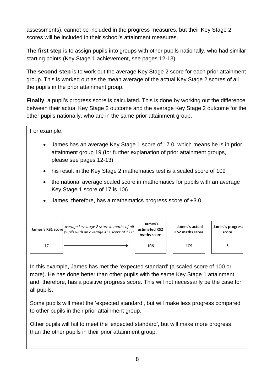assessments), cannot be included in the progress measures, but their Key Stage 2 scores will be included in their school's attainment measures.

**The first step** is to assign pupils into groups with other pupils nationally, who had similar starting points (Key Stage 1 achievement, see pages 12-13).

**The second step** is to work out the average Key Stage 2 score for each prior attainment group. This is worked out as the mean average of the actual Key Stage 2 scores of all the pupils in the prior attainment group.

**Finally**, a pupil's progress score is calculated. This is done by working out the difference between their actual Key Stage 2 outcome and the average Key Stage 2 outcome for the other pupils nationally, who are in the same prior attainment group.

For example:

- James has an average Key Stage 1 score of 17.0, which means he is in prior attainment group 19 (for further explanation of prior attainment groups, please see pages 12-13)
- his result in the Key Stage 2 mathematics test is a scaled score of 109
- the national average scaled score in mathematics for pupils with an average Key Stage 1 score of 17 is 106
- James, therefore, has a mathematics progress score of +3.0



In this example, James has met the 'expected standard' (a scaled score of 100 or more). He has done better than other pupils with the same Key Stage 1 attainment and, therefore, has a positive progress score. This will not necessarily be the case for all pupils.

Some pupils will meet the 'expected standard', but will make less progress compared to other pupils in their prior attainment group.

Other pupils will fail to meet the 'expected standard', but will make more progress than the other pupils in their prior attainment group.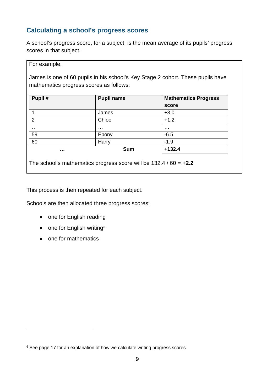#### **Calculating a school's progress scores**

A school's progress score, for a subject, is the mean average of its pupils' progress scores in that subject.

#### For example,

James is one of 60 pupils in his school's Key Stage 2 cohort. These pupils have mathematics progress scores as follows:

| Pupil#               | <b>Pupil name</b> | <b>Mathematics Progress</b> |
|----------------------|-------------------|-----------------------------|
|                      |                   | score                       |
|                      | James             | $+3.0$                      |
| $\overline{2}$       | Chloe             | $+1.2$                      |
| $\sim$ $\sim$ $\sim$ | $\cdots$          | $\cdots$                    |
| 59                   | Ebony             | $-6.5$                      |
| 60                   | Harry             | $-1.9$                      |
|                      | <b>Sum</b>        | $+132.4$                    |

The school's mathematics progress score will be 132.4 / 60 = **+2.2**

This process is then repeated for each subject.

Schools are then allocated three progress scores:

- one for English reading
- one for English writing<sup>[6](#page-8-0)</sup>
- one for mathematics

<span id="page-8-0"></span><sup>&</sup>lt;sup>6</sup> See page 17 for an explanation of how we calculate writing progress scores.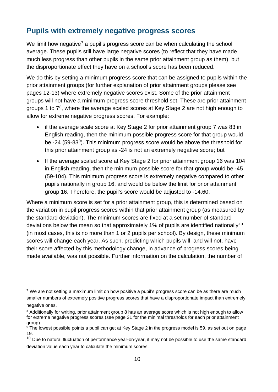## <span id="page-9-0"></span>**Pupils with extremely negative progress scores**

We limit how negative<sup>[7](#page-9-1)</sup> a pupil's progress score can be when calculating the school average. These pupils still have large negative scores (to reflect that they have made much less progress than other pupils in the same prior attainment group as them), but the disproportionate effect they have on a school's score has been reduced.

We do this by setting a minimum progress score that can be assigned to pupils within the prior attainment groups (for further explanation of prior attainment groups please see pages 12-13) where extremely negative scores exist. Some of the prior attainment groups will not have a minimum progress score threshold set. These are prior attainment groups 1 to 7[8,](#page-9-2) where the average scaled scores at Key Stage 2 are not high enough to allow for extreme negative progress scores. For example:

- if the average scale score at Key Stage 2 for prior attainment group 7 was 83 in English reading, then the minimum possible progress score for that group would be -24 (5[9](#page-9-3)-83<sup>9</sup>). This minimum progress score would be above the threshold for this prior attainment group as -24 is not an extremely negative score; but
- If the average scaled score at Key Stage 2 for prior attainment group 16 was 104 in English reading, then the minimum possible score for that group would be -45 (59-104). This minimum progress score is extremely negative compared to other pupils nationally in group 16, and would be below the limit for prior attainment group 16. Therefore, the pupil's score would be adjusted to -14.60.

Where a minimum score is set for a prior attainment group, this is determined based on the variation in pupil progress scores within that prior attainment group (as measured by the standard deviation). The minimum scores are fixed at a set number of standard deviations below the mean so that approximately 1% of pupils are identified nationally<sup>[10](#page-9-4)</sup> (in most cases, this is no more than 1 or 2 pupils per school). By design, these minimum scores will change each year. As such, predicting which pupils will, and will not, have their score affected by this methodology change, in advance of progress scores being made available, was not possible. Further information on the calculation, the number of

<span id="page-9-1"></span> $7$  We are not setting a maximum limit on how positive a pupil's progress score can be as there are much smaller numbers of extremely positive progress scores that have a disproportionate impact than extremely

negative ones.

<span id="page-9-2"></span><sup>&</sup>lt;sup>8</sup> Additionally for writing, prior attainment group 8 has an average score which is not high enough to allow for extreme negative progress scores (see page 31 for the minimal thresholds for each prior attainment group)

<span id="page-9-3"></span> $9$  The lowest possible points a pupil can get at Key Stage 2 in the progress model is 59, as set out on page 19.<br><sup>10</sup> Due to natural fluctuation of performance year-on-year, it may not be possible to use the same standard

<span id="page-9-4"></span>deviation value each year to calculate the minimum scores.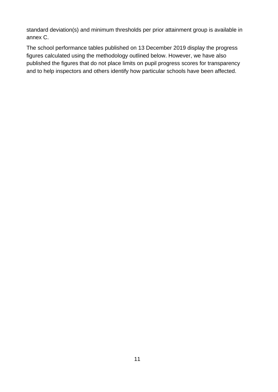standard deviation(s) and minimum thresholds per prior attainment group is available in annex C.

The school performance tables published on 13 December 2019 display the progress figures calculated using the methodology outlined below. However, we have also published the figures that do not place limits on pupil progress scores for transparency and to help inspectors and others identify how particular schools have been affected.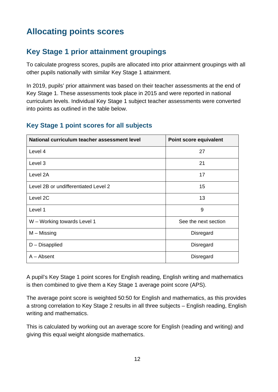# <span id="page-11-0"></span>**Allocating points scores**

# <span id="page-11-1"></span>**Key Stage 1 prior attainment groupings**

To calculate progress scores, pupils are allocated into prior attainment groupings with all other pupils nationally with similar Key Stage 1 attainment.

In 2019, pupils' prior attainment was based on their teacher assessments at the end of Key Stage 1. These assessments took place in 2015 and were reported in national curriculum levels. Individual Key Stage 1 subject teacher assessments were converted into points as outlined in the table below.

| National curriculum teacher assessment level | Point score equivalent |
|----------------------------------------------|------------------------|
| Level 4                                      | 27                     |
| Level 3                                      | 21                     |
| Level 2A                                     | 17                     |
| Level 2B or undifferentiated Level 2         | 15                     |
| Level 2C                                     | 13                     |
| Level 1                                      | 9                      |
| W - Working towards Level 1                  | See the next section   |
| $M -$ Missing                                | Disregard              |
| $D$ – Disapplied                             | Disregard              |
| $A - Absent$                                 | Disregard              |

### **Key Stage 1 point scores for all subjects**

A pupil's Key Stage 1 point scores for English reading, English writing and mathematics is then combined to give them a Key Stage 1 average point score (APS).

The average point score is weighted 50:50 for English and mathematics, as this provides a strong correlation to Key Stage 2 results in all three subjects – English reading, English writing and mathematics.

This is calculated by working out an average score for English (reading and writing) and giving this equal weight alongside mathematics.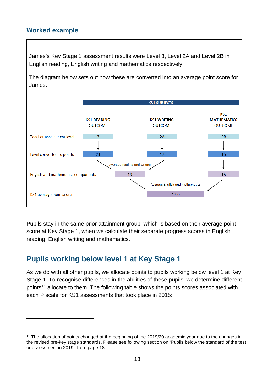#### **Worked example**

James's Key Stage 1 assessment results were Level 3, Level 2A and Level 2B in English reading, English writing and mathematics respectively.

The diagram below sets out how these are converted into an average point score for James.



Pupils stay in the same prior attainment group, which is based on their average point score at Key Stage 1, when we calculate their separate progress scores in English reading, English writing and mathematics.

## <span id="page-12-0"></span>**Pupils working below level 1 at Key Stage 1**

As we do with all other pupils, we allocate points to pupils working below level 1 at Key Stage 1. To recognise differences in the abilities of these pupils, we determine different points<sup>[11](#page-12-1)</sup> allocate to them. The following table shows the points scores associated with each P scale for KS1 assessments that took place in 2015:

<span id="page-12-1"></span><sup>&</sup>lt;sup>11</sup> The allocation of points changed at the beginning of the 2019/20 academic year due to the changes in the revised pre-key stage standards. Please see following section on 'Pupils below the standard of the test or assessment in 2019', from page 18.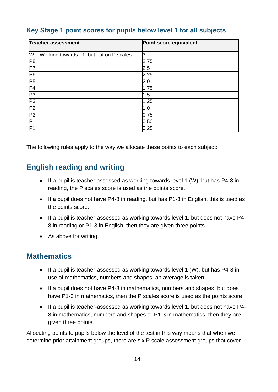## **Key Stage 1 point scores for pupils below level 1 for all subjects**

| <b>Teacher assessment</b>                   | Point score equivalent |
|---------------------------------------------|------------------------|
| W – Working towards L1, but not on P scales | З                      |
| P <sub>8</sub>                              | 2.75                   |
| $\overline{P7}$                             | 2.5                    |
| $\overline{P6}$                             | 2.25                   |
| P5                                          | 2.0                    |
| P4                                          | 1.75                   |
| P3ii                                        | 1.5                    |
| P <sub>3i</sub>                             | 1.25                   |
| P2ii                                        | 1.0                    |
| P2i                                         | 0.75                   |
| P <sub>1ii</sub>                            | 0.50                   |
| P <sub>1i</sub>                             | 0.25                   |

The following rules apply to the way we allocate these points to each subject:

# <span id="page-13-0"></span>**English reading and writing**

- If a pupil is teacher assessed as working towards level 1 (W), but has P4-8 in reading, the P scales score is used as the points score.
- If a pupil does not have P4-8 in reading, but has P1-3 in English, this is used as the points score.
- If a pupil is teacher-assessed as working towards level 1, but does not have P4- 8 in reading or P1-3 in English, then they are given three points.
- As above for writing.

## <span id="page-13-1"></span>**Mathematics**

- If a pupil is teacher-assessed as working towards level 1 (W), but has P4-8 in use of mathematics, numbers and shapes, an average is taken.
- If a pupil does not have P4-8 in mathematics, numbers and shapes, but does have P1-3 in mathematics, then the P scales score is used as the points score.
- If a pupil is teacher-assessed as working towards level 1, but does not have P4- 8 in mathematics, numbers and shapes or P1-3 in mathematics, then they are given three points.

Allocating points to pupils below the level of the test in this way means that when we determine prior attainment groups, there are six P scale assessment groups that cover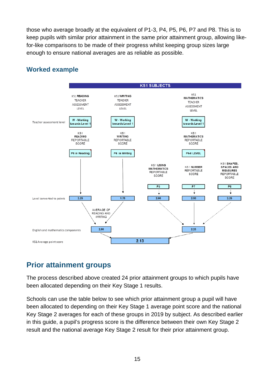those who average broadly at the equivalent of P1-3, P4, P5, P6, P7 and P8. This is to keep pupils with similar prior attainment in the same prior attainment group, allowing likefor-like comparisons to be made of their progress whilst keeping group sizes large enough to ensure national averages are as reliable as possible.



#### **Worked example**

## <span id="page-14-0"></span>**Prior attainment groups**

The process described above created 24 prior attainment groups to which pupils have been allocated depending on their Key Stage 1 results.

Schools can use the table below to see which prior attainment group a pupil will have been allocated to depending on their Key Stage 1 average point score and the national Key Stage 2 averages for each of these groups in 2019 by subject. As described earlier in this guide, a pupil's progress score is the difference between their own Key Stage 2 result and the national average Key Stage 2 result for their prior attainment group.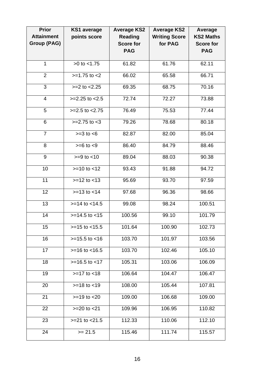| <b>Prior</b><br><b>Attainment</b><br>Group (PAG) | <b>KS1</b> average<br>points score | <b>Average KS2</b><br><b>Reading</b><br><b>Score for</b><br><b>PAG</b> | <b>Average KS2</b><br><b>Writing Score</b><br>for PAG | Average<br><b>KS2 Maths</b><br><b>Score for</b><br><b>PAG</b> |
|--------------------------------------------------|------------------------------------|------------------------------------------------------------------------|-------------------------------------------------------|---------------------------------------------------------------|
|                                                  |                                    |                                                                        |                                                       |                                                               |
| $\overline{1}$                                   | $>0$ to $< 1.75$                   | 61.82                                                                  | 61.76                                                 | 62.11                                                         |
| $\overline{2}$                                   | $>=1.75$ to $<$ 2                  | 66.02                                                                  | 65.58                                                 | 66.71                                                         |
| 3                                                | $>=2$ to $<2.25$                   | 69.35                                                                  | 68.75                                                 | 70.16                                                         |
| $\overline{4}$                                   | $>=2.25$ to $<2.5$                 | 72.74                                                                  | 72.27                                                 | 73.88                                                         |
| 5                                                | $>=2.5$ to $<2.75$                 | 76.49                                                                  | 75.53                                                 | 77.44                                                         |
| 6                                                | $>=2.75$ to $<$ 3                  | 79.26                                                                  | 78.68                                                 | 80.18                                                         |
| $\overline{7}$                                   | $>=3$ to $<6$                      | 82.87                                                                  | 82.00                                                 | 85.04                                                         |
| 8                                                | $>= 6 to < 9$                      | 86.40                                                                  | 84.79                                                 | 88.46                                                         |
| 9                                                | $>=9$ to $<10$                     | 89.04                                                                  | 88.03                                                 | 90.38                                                         |
| 10                                               | $>=10$ to $<12$                    | 93.43                                                                  | 91.88                                                 | 94.72                                                         |
| 11                                               | $>=12$ to $<13$                    | 95.69                                                                  | 93.70                                                 | 97.59                                                         |
| 12                                               | $>=13$ to $<14$                    | 97.68                                                                  | 96.36                                                 | 98.66                                                         |
| 13                                               | $>= 14$ to $< 14.5$                | 99.08                                                                  | 98.24                                                 | 100.51                                                        |
| 14                                               | $>=14.5$ to $<15$                  | 100.56                                                                 | 99.10                                                 | 101.79                                                        |
| 15                                               | $>=15$ to $<15.5$                  | 101.64                                                                 | 100.90                                                | 102.73                                                        |
| 16                                               | $>=15.5$ to $<16$                  | 103.70                                                                 | 101.97                                                | 103.56                                                        |
| 17                                               | $>=16$ to $<16.5$                  | 103.70                                                                 | 102.46                                                | 105.10                                                        |
| 18                                               | $>=16.5$ to $<17$                  | 105.31                                                                 | 103.06                                                | 106.09                                                        |
| 19                                               | $>=17$ to $<18$                    | 106.64                                                                 | 104.47                                                | 106.47                                                        |
| 20                                               | $>=18$ to $<19$                    | 108.00                                                                 | 105.44                                                | 107.81                                                        |
| 21                                               | $>=19$ to $<20$                    | 109.00                                                                 | 106.68                                                | 109.00                                                        |
| 22                                               | $>=20$ to $<21$                    | 109.96                                                                 | 106.95                                                | 110.82                                                        |
| 23                                               | $>=21$ to $<21.5$                  | 112.33                                                                 | 110.06                                                | 112.10                                                        |
| 24                                               | $>= 21.5$                          | 115.46                                                                 | 111.74                                                | 115.57                                                        |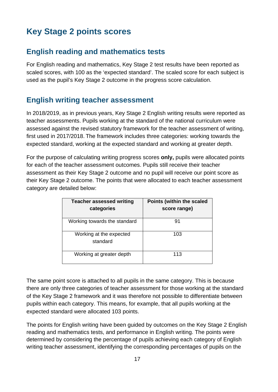# <span id="page-16-0"></span>**Key Stage 2 points scores**

## <span id="page-16-1"></span>**English reading and mathematics tests**

For English reading and mathematics, Key Stage 2 test results have been reported as scaled scores, with 100 as the 'expected standard'. The scaled score for each subject is used as the pupil's Key Stage 2 outcome in the progress score calculation.

## <span id="page-16-2"></span>**English writing teacher assessment**

In 2018/2019, as in previous years, Key Stage 2 English writing results were reported as teacher assessments. Pupils working at the standard of the national curriculum were assessed against the revised statutory framework for the teacher assessment of writing, first used in 2017/2018. The framework includes three categories: working towards the expected standard, working at the expected standard and working at greater depth.

For the purpose of calculating writing progress scores **only,** pupils were allocated points for each of the teacher assessment outcomes. Pupils still receive their teacher assessment as their Key Stage 2 outcome and no pupil will receive our point score as their Key Stage 2 outcome. The points that were allocated to each teacher assessment category are detailed below:

| <b>Teacher assessed writing</b><br>categories | Points (within the scaled<br>score range) |
|-----------------------------------------------|-------------------------------------------|
| Working towards the standard                  | 91                                        |
| Working at the expected<br>standard           | 103                                       |
| Working at greater depth                      | 113                                       |

The same point score is attached to all pupils in the same category. This is because there are only three categories of teacher assessment for those working at the standard of the Key Stage 2 framework and it was therefore not possible to differentiate between pupils within each category. This means, for example, that all pupils working at the expected standard were allocated 103 points.

The points for English writing have been guided by outcomes on the Key Stage 2 English reading and mathematics tests, and performance in English writing. The points were determined by considering the percentage of pupils achieving each category of English writing teacher assessment, identifying the corresponding percentages of pupils on the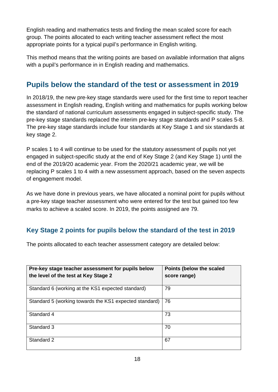English reading and mathematics tests and finding the mean scaled score for each group. The points allocated to each writing teacher assessment reflect the most appropriate points for a typical pupil's performance in English writing.

This method means that the writing points are based on available information that aligns with a pupil's performance in in English reading and mathematics.

# <span id="page-17-0"></span>**Pupils below the standard of the test or assessment in 2019**

In 2018/19, the new pre-key stage standards were used for the first time to report teacher assessment in English reading, English writing and mathematics for pupils working below the standard of national curriculum assessments engaged in subject-specific study. The pre-key stage standards replaced the interim pre-key stage standards and P scales 5-8. The pre-key stage standards include four standards at Key Stage 1 and six standards at key stage 2.

P scales 1 to 4 will continue to be used for the statutory assessment of pupils not yet engaged in subject-specific study at the end of Key Stage 2 (and Key Stage 1) until the end of the 2019/20 academic year. From the 2020/21 academic year, we will be replacing P scales 1 to 4 with a new assessment approach, based on the seven aspects of engagement model.

As we have done in previous years, we have allocated a nominal point for pupils without a pre-key stage teacher assessment who were entered for the test but gained too few marks to achieve a scaled score. In 2019, the points assigned are 79.

#### **Key Stage 2 points for pupils below the standard of the test in 2019**

The points allocated to each teacher assessment category are detailed below:

| Pre-key stage teacher assessment for pupils below      | Points (below the scaled |  |
|--------------------------------------------------------|--------------------------|--|
| the level of the test at Key Stage 2                   | score range)             |  |
|                                                        |                          |  |
| Standard 6 (working at the KS1 expected standard)      | 79                       |  |
| Standard 5 (working towards the KS1 expected standard) | 76                       |  |
| Standard 4                                             | 73                       |  |
| Standard 3                                             | 70                       |  |
| Standard 2                                             | 67                       |  |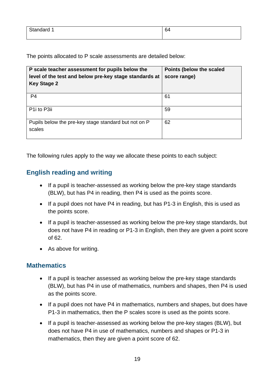| $0.5 - 0.5$<br>dard 1<br>- | .   |
|----------------------------|-----|
| ັີ                         | . . |
|                            |     |

The points allocated to P scale assessments are detailed below:

| P scale teacher assessment for pupils below the<br>level of the test and below pre-key stage standards at<br><b>Key Stage 2</b> | Points (below the scaled<br>score range) |
|---------------------------------------------------------------------------------------------------------------------------------|------------------------------------------|
| P <sub>4</sub>                                                                                                                  | 61                                       |
| P <sub>1</sub> to P <sub>3ii</sub>                                                                                              | 59                                       |
| Pupils below the pre-key stage standard but not on P<br>scales                                                                  | 62                                       |

The following rules apply to the way we allocate these points to each subject:

#### **English reading and writing**

- If a pupil is teacher-assessed as working below the pre-key stage standards (BLW), but has P4 in reading, then P4 is used as the points score.
- If a pupil does not have P4 in reading, but has P1-3 in English, this is used as the points score.
- If a pupil is teacher-assessed as working below the pre-key stage standards, but does not have P4 in reading or P1-3 in English, then they are given a point score of 62.
- As above for writing.

#### **Mathematics**

- If a pupil is teacher assessed as working below the pre-key stage standards (BLW), but has P4 in use of mathematics, numbers and shapes, then P4 is used as the points score.
- If a pupil does not have P4 in mathematics, numbers and shapes, but does have P1-3 in mathematics, then the P scales score is used as the points score.
- If a pupil is teacher-assessed as working below the pre-key stages (BLW), but does not have P4 in use of mathematics, numbers and shapes or P1-3 in mathematics, then they are given a point score of 62.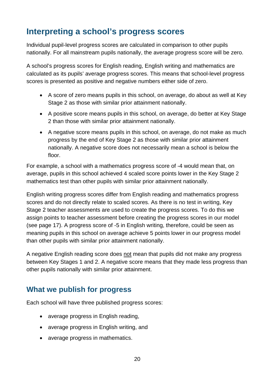# <span id="page-19-0"></span>**Interpreting a school's progress scores**

Individual pupil-level progress scores are calculated in comparison to other pupils nationally. For all mainstream pupils nationally, the average progress score will be zero.

A school's progress scores for English reading, English writing and mathematics are calculated as its pupils' average progress scores. This means that school-level progress scores is presented as positive and negative numbers either side of zero.

- A score of zero means pupils in this school, on average, do about as well at Key Stage 2 as those with similar prior attainment nationally.
- A positive score means pupils in this school, on average, do better at Key Stage 2 than those with similar prior attainment nationally.
- A negative score means pupils in this school, on average, do not make as much progress by the end of Key Stage 2 as those with similar prior attainment nationally. A negative score does not necessarily mean a school is below the floor.

For example, a school with a mathematics progress score of -4 would mean that, on average, pupils in this school achieved 4 scaled score points lower in the Key Stage 2 mathematics test than other pupils with similar prior attainment nationally.

English writing progress scores differ from English reading and mathematics progress scores and do not directly relate to scaled scores. As there is no test in writing, Key Stage 2 teacher assessments are used to create the progress scores. To do this we assign points to teacher assessment before creating the progress scores in our model (see page 17). A progress score of -5 in English writing, therefore, could be seen as meaning pupils in this school on average achieve 5 points lower in our progress model than other pupils with similar prior attainment nationally.

A negative English reading score does not mean that pupils did not make any progress between Key Stages 1 and 2. A negative score means that they made less progress than other pupils nationally with similar prior attainment.

# <span id="page-19-1"></span>**What we publish for progress**

Each school will have three published progress scores:

- average progress in English reading,
- average progress in English writing, and
- average progress in mathematics.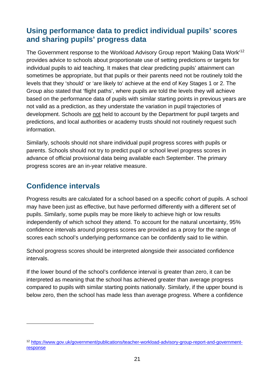# <span id="page-20-0"></span>**Using performance data to predict individual pupils' scores and sharing pupils' progress data**

The Government response to the Workload Advisory Group report 'Making Data Work'[12](#page-20-2) provides advice to schools about proportionate use of setting predictions or targets for individual pupils to aid teaching. It makes that clear predicting pupils' attainment can sometimes be appropriate, but that pupils or their parents need not be routinely told the levels that they 'should' or 'are likely to' achieve at the end of Key Stages 1 or 2. The Group also stated that 'flight paths', where pupils are told the levels they will achieve based on the performance data of pupils with similar starting points in previous years are not valid as a prediction, as they understate the variation in pupil trajectories of development. Schools are not held to account by the Department for pupil targets and predictions, and local authorities or academy trusts should not routinely request such information.

Similarly, schools should not share individual pupil progress scores with pupils or parents. Schools should not try to predict pupil or school level progress scores in advance of official provisional data being available each September. The primary progress scores are an in-year relative measure.

# <span id="page-20-1"></span>**Confidence intervals**

Progress results are calculated for a school based on a specific cohort of pupils. A school may have been just as effective, but have performed differently with a different set of pupils. Similarly, some pupils may be more likely to achieve high or low results independently of which school they attend. To account for the natural uncertainty, 95% confidence intervals around progress scores are provided as a proxy for the range of scores each school's underlying performance can be confidently said to lie within.

School progress scores should be interpreted alongside their associated confidence intervals.

If the lower bound of the school's confidence interval is greater than zero, it can be interpreted as meaning that the school has achieved greater than average progress compared to pupils with similar starting points nationally. Similarly, if the upper bound is below zero, then the school has made less than average progress. Where a confidence

<span id="page-20-2"></span><sup>12</sup> [https://www.gov.uk/government/publications/teacher-workload-advisory-group-report-and-government](https://www.gov.uk/government/publications/teacher-workload-advisory-group-report-and-government-response)[response](https://www.gov.uk/government/publications/teacher-workload-advisory-group-report-and-government-response)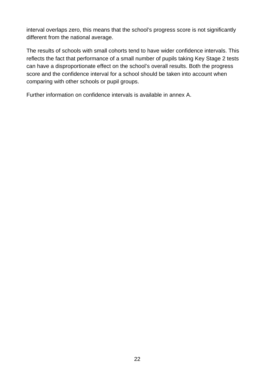interval overlaps zero, this means that the school's progress score is not significantly different from the national average.

The results of schools with small cohorts tend to have wider confidence intervals. This reflects the fact that performance of a small number of pupils taking Key Stage 2 tests can have a disproportionate effect on the school's overall results. Both the progress score and the confidence interval for a school should be taken into account when comparing with other schools or pupil groups.

Further information on confidence intervals is available in annex A.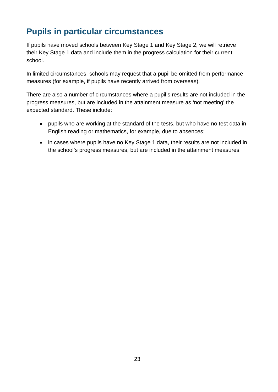# <span id="page-22-0"></span>**Pupils in particular circumstances**

If pupils have moved schools between Key Stage 1 and Key Stage 2, we will retrieve their Key Stage 1 data and include them in the progress calculation for their current school.

In limited circumstances, schools may request that a pupil be omitted from performance measures (for example, if pupils have recently arrived from overseas).

There are also a number of circumstances where a pupil's results are not included in the progress measures, but are included in the attainment measure as 'not meeting' the expected standard. These include:

- pupils who are working at the standard of the tests, but who have no test data in English reading or mathematics, for example, due to absences;
- in cases where pupils have no Key Stage 1 data, their results are not included in the school's progress measures, but are included in the attainment measures.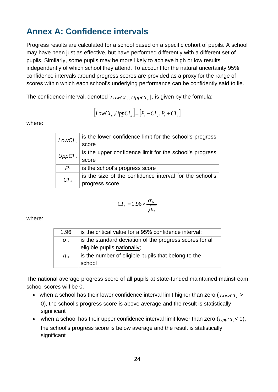# <span id="page-23-0"></span>**Annex A: Confidence intervals**

Progress results are calculated for a school based on a specific cohort of pupils. A school may have been just as effective, but have performed differently with a different set of pupils. Similarly, some pupils may be more likely to achieve high or low results independently of which school they attend. To account for the natural uncertainty 95% confidence intervals around progress scores are provided as a proxy for the range of scores within which each school's underlying performance can be confidently said to lie.

The confidence interval, denoted  $[LowCI_s, UppCI_s]$ , is given by the formula:

$$
\left[LowCI_s, UppCI_s\right] = \left[P_s - CI_s, P_s + CI_s\right]
$$

where:

| LowCl <sub>s</sub> | is the lower confidence limit for the school's progress |
|--------------------|---------------------------------------------------------|
|                    | score                                                   |
| UppCl <sub>s</sub> | is the upper confidence limit for the school's progress |
|                    | score                                                   |
| $P_{s}$            | is the school's progress score                          |
| CI <sub>s</sub>    | is the size of the confidence interval for the school's |
|                    | progress score                                          |

$$
CI_s = 1.96 \times \frac{\sigma_N}{\sqrt{n_s}}
$$

where:

| 1.96                   | is the critical value for a 95% confidence interval;     |
|------------------------|----------------------------------------------------------|
| $\sigma$ $\mathcal{L}$ | is the standard deviation of the progress scores for all |
|                        | eligible pupils nationally;                              |
| $\eta$ s               | is the number of eligible pupils that belong to the      |
|                        | school                                                   |

The national average progress score of all pupils at state-funded maintained mainstream school scores will be 0.

- when a school has their lower confidence interval limit higher than zero  $(L_{OWCI.}>$ 0), the school's progress score is above average and the result is statistically significant
- when a school has their upper confidence interval limit lower than zero  $(\nu_{ppCI} < 0)$ , the school's progress score is below average and the result is statistically significant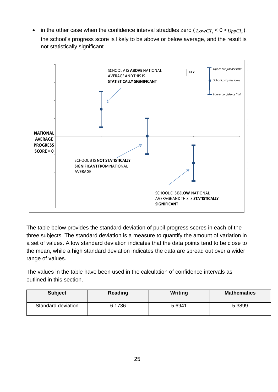in the other case when the confidence interval straddles zero  $(LowCI \leq 0 \leq UppCI_{s})$ , the school's progress score is likely to be above or below average, and the result is not statistically significant



The table below provides the standard deviation of pupil progress scores in each of the three subjects. The standard deviation is a measure to quantify the amount of variation in a set of values. A low standard deviation indicates that the data points tend to be close to the mean, while a high standard deviation indicates the data are spread out over a wider range of values.

The values in the table have been used in the calculation of confidence intervals as outlined in this section.

| <b>Subject</b>     | <b>Reading</b> | <b>Writing</b> | <b>Mathematics</b> |
|--------------------|----------------|----------------|--------------------|
| Standard deviation | 6.1736         | 5.6941         | 5.3899             |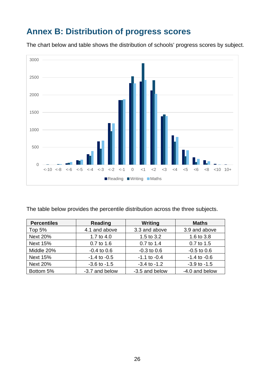# <span id="page-25-0"></span>**Annex B: Distribution of progress scores**



The chart below and table shows the distribution of schools' progress scores by subject.

The table below provides the percentile distribution across the three subjects.

| <b>Percentiles</b> | Writing<br><b>Reading</b> |                  | <b>Maths</b>     |  |
|--------------------|---------------------------|------------------|------------------|--|
| Top 5%             | 4.1 and above             | 3.3 and above    | 3.9 and above    |  |
| <b>Next 20%</b>    | 1.7 to 4.0                | 1.5 to 3.2       | 1.6 to 3.8       |  |
| <b>Next 15%</b>    | 0.7 to 1.6                | 0.7 to 1.4       | 0.7 to 1.5       |  |
| Middle 20%         | $-0.4$ to 0.6             | $-0.3$ to $0.6$  | $-0.5$ to $0.6$  |  |
| <b>Next 15%</b>    | $-1.4$ to $-0.5$          | $-1.1$ to $-0.4$ | $-1.4$ to $-0.6$ |  |
| <b>Next 20%</b>    | $-3.6$ to $-1.5$          | $-3.4$ to $-1.2$ | $-3.9$ to $-1.5$ |  |
| Bottom 5%          | -3.7 and below            | -3.5 and below   | -4.0 and below   |  |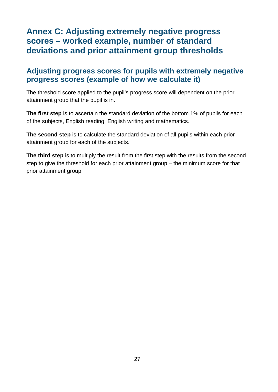# <span id="page-26-0"></span>**Annex C: Adjusting extremely negative progress scores – worked example, number of standard deviations and prior attainment group thresholds**

## <span id="page-26-1"></span>**Adjusting progress scores for pupils with extremely negative progress scores (example of how we calculate it)**

The threshold score applied to the pupil's progress score will dependent on the prior attainment group that the pupil is in.

**The first step** is to ascertain the standard deviation of the bottom 1% of pupils for each of the subjects, English reading, English writing and mathematics.

**The second step** is to calculate the standard deviation of all pupils within each prior attainment group for each of the subjects.

**The third step** is to multiply the result from the first step with the results from the second step to give the threshold for each prior attainment group – the minimum score for that prior attainment group.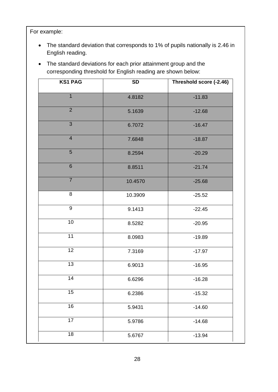For example:

- The standard deviation that corresponds to 1% of pupils nationally is 2.46 in English reading.
- The standard deviations for each prior attainment group and the corresponding threshold for English reading are shown below:

| <b>KS1 PAG</b> | <b>SD</b> | Threshold score (-2.46) |
|----------------|-----------|-------------------------|
| $\overline{1}$ | 4.8182    | $-11.83$                |
| $\overline{2}$ | 5.1639    | $-12.68$                |
| 3              | 6.7072    | $-16.47$                |
| $\overline{4}$ | 7.6848    | $-18.87$                |
| $\overline{5}$ | 8.2594    | $-20.29$                |
| $6\phantom{1}$ | 8.8511    | $-21.74$                |
| $\overline{7}$ | 10.4570   | $-25.68$                |
| 8              | 10.3909   | $-25.52$                |
| $9\,$          | 9.1413    | $-22.45$                |
| 10             | 8.5282    | $-20.95$                |
| 11             | 8.0983    | $-19.89$                |
| 12             | 7.3169    | $-17.97$                |
| 13             | 6.9013    | $-16.95$                |
| 14             | 6.6296    | $-16.28$                |
| 15             | 6.2386    | $-15.32$                |
| 16             | 5.9431    | $-14.60$                |
| 17             | 5.9786    | $-14.68$                |
| 18             | 5.6767    | $-13.94$                |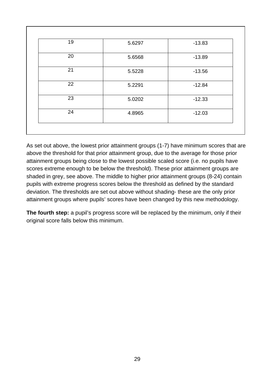| 19 | 5.6297 | $-13.83$ |
|----|--------|----------|
| 20 | 5.6568 | $-13.89$ |
| 21 | 5.5228 | $-13.56$ |
| 22 | 5.2291 | $-12.84$ |
| 23 | 5.0202 | $-12.33$ |
| 24 | 4.8965 | $-12.03$ |

As set out above, the lowest prior attainment groups (1-7) have minimum scores that are above the threshold for that prior attainment group, due to the average for those prior attainment groups being close to the lowest possible scaled score (i.e. no pupils have scores extreme enough to be below the threshold). These prior attainment groups are shaded in grey, see above. The middle to higher prior attainment groups (8-24) contain pupils with extreme progress scores below the threshold as defined by the standard deviation. The thresholds are set out above without shading- these are the only prior attainment groups where pupils' scores have been changed by this new methodology.

**The fourth step:** a pupil's progress score will be replaced by the minimum, only if their original score falls below this minimum.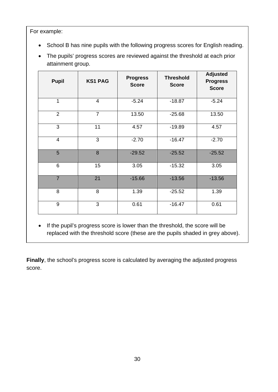For example:

- School B has nine pupils with the following progress scores for English reading.
- The pupils' progress scores are reviewed against the threshold at each prior attainment group.

| <b>Pupil</b>   | <b>KS1 PAG</b> | <b>Progress</b><br><b>Score</b> | <b>Threshold</b><br><b>Score</b> | <b>Adjusted</b><br><b>Progress</b><br><b>Score</b> |
|----------------|----------------|---------------------------------|----------------------------------|----------------------------------------------------|
| $\mathbf{1}$   | $\overline{4}$ | $-5.24$                         | $-18.87$                         | $-5.24$                                            |
| 2              | $\overline{7}$ | 13.50                           | $-25.68$                         | 13.50                                              |
| 3              | 11             | 4.57                            | $-19.89$                         | 4.57                                               |
| $\overline{4}$ | 3              | $-2.70$                         | $-16.47$                         | $-2.70$                                            |
| 5              | 8              | $-29.52$                        | $-25.52$                         | $-25.52$                                           |
| 6              | 15             | 3.05                            | $-15.32$                         | 3.05                                               |
| $\overline{7}$ | 21             | $-15.66$                        | $-13.56$                         | $-13.56$                                           |
| 8              | 8              | 1.39                            | $-25.52$                         | 1.39                                               |
| 9              | 3              | 0.61                            | $-16.47$                         | 0.61                                               |

• If the pupil's progress score is lower than the threshold, the score will be replaced with the threshold score (these are the pupils shaded in grey above).

**Finally**, the school's progress score is calculated by averaging the adjusted progress score.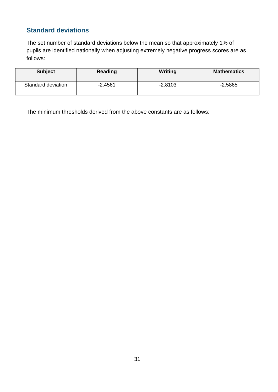#### **Standard deviations**

The set number of standard deviations below the mean so that approximately 1% of pupils are identified nationally when adjusting extremely negative progress scores are as follows:

| <b>Subject</b>     | Reading   | Writing   | <b>Mathematics</b> |
|--------------------|-----------|-----------|--------------------|
| Standard deviation | $-2.4561$ | $-2.8103$ | $-2.5865$          |

The minimum thresholds derived from the above constants are as follows: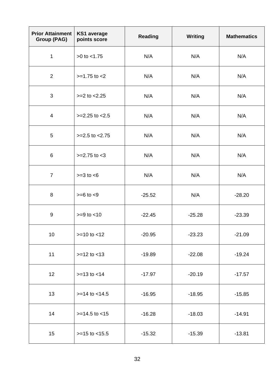| <b>Prior Attainment</b><br>Group (PAG) | <b>KS1</b> average<br>points score | <b>Reading</b> | <b>Writing</b> | <b>Mathematics</b> |
|----------------------------------------|------------------------------------|----------------|----------------|--------------------|
| $\mathbf 1$                            | $>0$ to $< 1.75$                   | N/A            | N/A            | N/A                |
| $\overline{2}$                         | $>=1.75$ to $<$ 2                  | N/A            | N/A            | N/A                |
| 3                                      | $>=2$ to $<2.25$                   | N/A            | N/A            | N/A                |
| 4                                      | $>=2.25$ to $<2.5$                 | N/A            | N/A            | N/A                |
| 5                                      | $>=2.5$ to $<2.75$                 | N/A            | N/A            | N/A                |
| $\,6$                                  | $>=2.75$ to $<$ 3                  | N/A            | N/A            | N/A                |
| $\overline{7}$                         | $>=3$ to $< 6$                     | N/A            | N/A            | N/A                |
| 8                                      | $>= 6 to < 9$                      | $-25.52$       | N/A            | $-28.20$           |
| $9\,$                                  | $>=9$ to $<10$                     | $-22.45$       | $-25.28$       | $-23.39$           |
| 10                                     | $>=10$ to $<12$                    | $-20.95$       | $-23.23$       | $-21.09$           |
| 11                                     | $>=12$ to $<13$                    | $-19.89$       | $-22.08$       | $-19.24$           |
| 12                                     | $>=13$ to $<14$                    | $-17.97$       | $-20.19$       | $-17.57$           |
| 13                                     | $>=14$ to $<14.5$                  | $-16.95$       | $-18.95$       | $-15.85$           |
| 14                                     | $>=14.5$ to $<15$                  | $-16.28$       | $-18.03$       | $-14.91$           |
| 15                                     | $>=15$ to $<15.5$                  | $-15.32$       | $-15.39$       | $-13.81$           |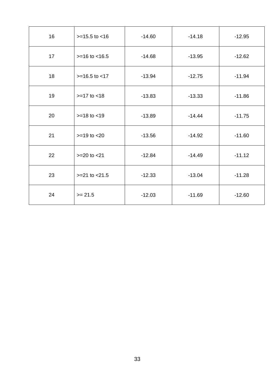| 16 | $>=15.5$ to $<16$ | $-14.60$ | $-14.18$ | $-12.95$ |
|----|-------------------|----------|----------|----------|
| 17 | $>=16$ to $<16.5$ | $-14.68$ | $-13.95$ | $-12.62$ |
| 18 | $>=16.5$ to $<17$ | $-13.94$ | $-12.75$ | $-11.94$ |
| 19 | $>=17$ to $<18$   | $-13.83$ | $-13.33$ | $-11.86$ |
| 20 | $>=18$ to $<19$   | $-13.89$ | $-14.44$ | $-11.75$ |
| 21 | $>=19$ to $<20$   | $-13.56$ | $-14.92$ | $-11.60$ |
| 22 | $>=20$ to $<21$   | $-12.84$ | $-14.49$ | $-11.12$ |
| 23 | $>=21$ to $<21.5$ | $-12.33$ | $-13.04$ | $-11.28$ |
| 24 | $>= 21.5$         | $-12.03$ | $-11.69$ | $-12.60$ |